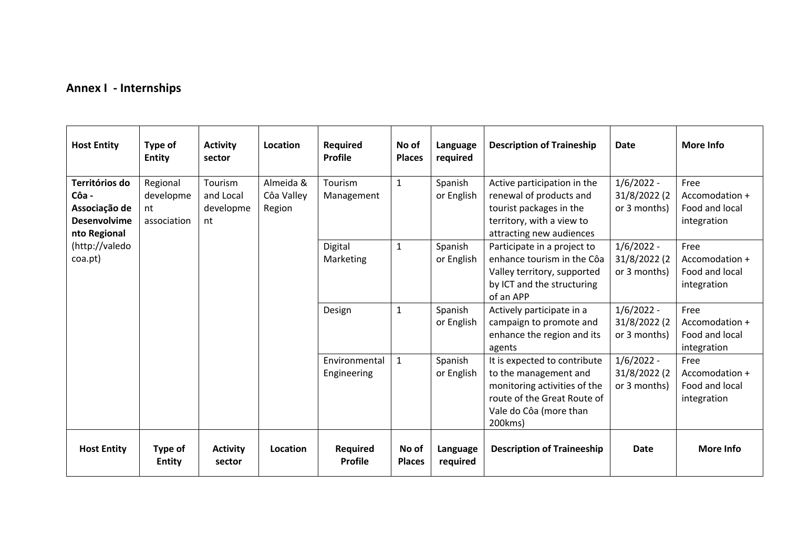## **Annex I - Internships**

| <b>Host Entity</b>                                                              | Type of<br><b>Entity</b>                   | <b>Activity</b><br>sector               | Location                          | <b>Required</b><br><b>Profile</b> | No of<br><b>Places</b> | Language<br>required  | <b>Description of Traineship</b>                                                                                                                          | <b>Date</b>                                  | <b>More Info</b>                                        |
|---------------------------------------------------------------------------------|--------------------------------------------|-----------------------------------------|-----------------------------------|-----------------------------------|------------------------|-----------------------|-----------------------------------------------------------------------------------------------------------------------------------------------------------|----------------------------------------------|---------------------------------------------------------|
| Territórios do<br>Côa -<br>Associação de<br><b>Desenvolvime</b><br>nto Regional | Regional<br>developme<br>nt<br>association | Tourism<br>and Local<br>developme<br>nt | Almeida &<br>Côa Valley<br>Region | Tourism<br>Management             | $\mathbf{1}$           | Spanish<br>or English | Active participation in the<br>renewal of products and<br>tourist packages in the<br>territory, with a view to<br>attracting new audiences                | $1/6/2022 -$<br>31/8/2022 (2<br>or 3 months) | Free<br>Accomodation +<br>Food and local<br>integration |
| (http://valedo<br>coa.pt)                                                       |                                            |                                         |                                   | Digital<br>Marketing              | $\mathbf{1}$           | Spanish<br>or English | Participate in a project to<br>enhance tourism in the Côa<br>Valley territory, supported<br>by ICT and the structuring<br>of an APP                       | $1/6/2022 -$<br>31/8/2022 (2<br>or 3 months) | Free<br>Accomodation +<br>Food and local<br>integration |
|                                                                                 |                                            |                                         |                                   | Design                            | $\mathbf 1$            | Spanish<br>or English | Actively participate in a<br>campaign to promote and<br>enhance the region and its<br>agents                                                              | $1/6/2022 -$<br>31/8/2022 (2<br>or 3 months) | Free<br>Accomodation +<br>Food and local<br>integration |
|                                                                                 |                                            |                                         |                                   | Environmental<br>Engineering      | $\mathbf{1}$           | Spanish<br>or English | It is expected to contribute<br>to the management and<br>monitoring activities of the<br>route of the Great Route of<br>Vale do Côa (more than<br>200kms) | $1/6/2022 -$<br>31/8/2022 (2<br>or 3 months) | Free<br>Accomodation +<br>Food and local<br>integration |
| <b>Host Entity</b>                                                              | Type of<br><b>Entity</b>                   | <b>Activity</b><br>sector               | Location                          | Required<br><b>Profile</b>        | No of<br><b>Places</b> | Language<br>required  | <b>Description of Traineeship</b>                                                                                                                         | Date                                         | More Info                                               |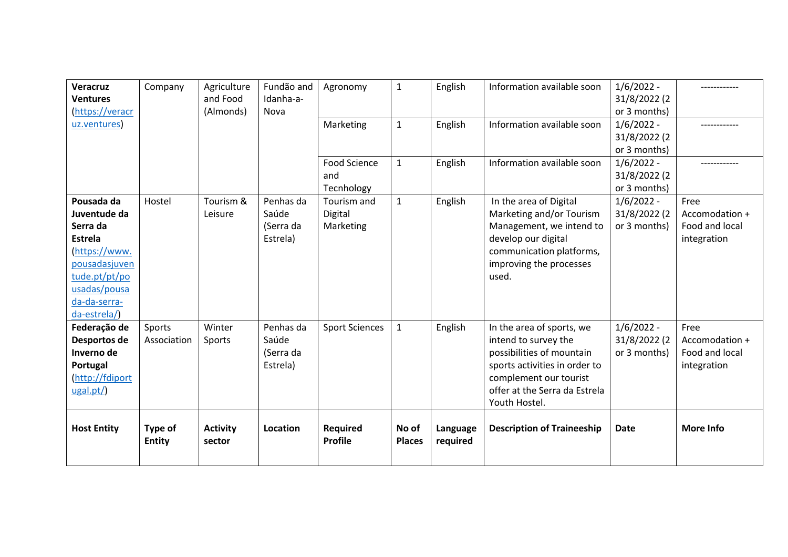| <b>Veracruz</b><br><b>Ventures</b><br>(https://veracr                                                                                                       | Company                  | Agriculture<br>and Food<br>(Almonds) | Fundão and<br>Idanha-a-<br>Nova             | Agronomy                                 | $\mathbf{1}$           | English              | Information available soon                                                                                                                                                                  | $1/6/2022 -$<br>31/8/2022 (2<br>or 3 months) |                                                         |
|-------------------------------------------------------------------------------------------------------------------------------------------------------------|--------------------------|--------------------------------------|---------------------------------------------|------------------------------------------|------------------------|----------------------|---------------------------------------------------------------------------------------------------------------------------------------------------------------------------------------------|----------------------------------------------|---------------------------------------------------------|
| uz.ventures                                                                                                                                                 |                          |                                      |                                             | Marketing                                | $\mathbf{1}$           | English              | Information available soon                                                                                                                                                                  | $1/6/2022 -$<br>31/8/2022 (2<br>or 3 months) |                                                         |
|                                                                                                                                                             |                          |                                      |                                             | <b>Food Science</b><br>and<br>Tecnhology | $\mathbf{1}$           | English              | Information available soon                                                                                                                                                                  | $1/6/2022 -$<br>31/8/2022 (2<br>or 3 months) |                                                         |
| Pousada da<br>Juventude da<br>Serra da<br><b>Estrela</b><br>(https://www.<br>pousadasjuven<br>tude.pt/pt/po<br>usadas/pousa<br>da-da-serra-<br>da-estrela/) | Hostel                   | Tourism &<br>Leisure                 | Penhas da<br>Saúde<br>(Serra da<br>Estrela) | Tourism and<br>Digital<br>Marketing      | $\mathbf{1}$           | English              | In the area of Digital<br>Marketing and/or Tourism<br>Management, we intend to<br>develop our digital<br>communication platforms,<br>improving the processes<br>used.                       | $1/6/2022 -$<br>31/8/2022 (2<br>or 3 months) | Free<br>Accomodation +<br>Food and local<br>integration |
| Federação de<br>Desportos de<br>Inverno de<br>Portugal<br>(http://fdiport<br>ugal.pt/)                                                                      | Sports<br>Association    | Winter<br>Sports                     | Penhas da<br>Saúde<br>(Serra da<br>Estrela) | <b>Sport Sciences</b>                    | $\mathbf 1$            | English              | In the area of sports, we<br>intend to survey the<br>possibilities of mountain<br>sports activities in order to<br>complement our tourist<br>offer at the Serra da Estrela<br>Youth Hostel. | $1/6/2022 -$<br>31/8/2022 (2<br>or 3 months) | Free<br>Accomodation +<br>Food and local<br>integration |
| <b>Host Entity</b>                                                                                                                                          | Type of<br><b>Entity</b> | <b>Activity</b><br>sector            | Location                                    | <b>Required</b><br><b>Profile</b>        | No of<br><b>Places</b> | Language<br>required | <b>Description of Traineeship</b>                                                                                                                                                           | <b>Date</b>                                  | <b>More Info</b>                                        |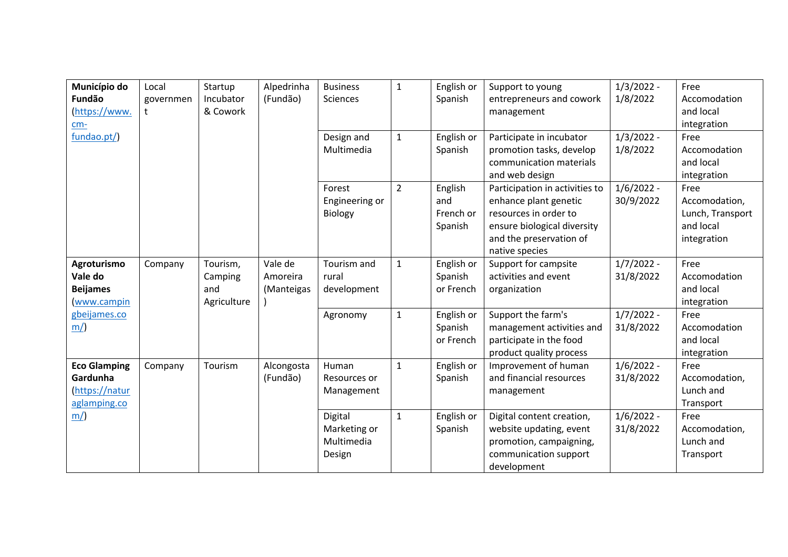| Município do                    | Local     | Startup     | Alpedrinha | <b>Business</b> | $\mathbf{1}$   | English or | Support to young                                | $1/3/2022 -$              | Free                       |
|---------------------------------|-----------|-------------|------------|-----------------|----------------|------------|-------------------------------------------------|---------------------------|----------------------------|
| Fundão                          | governmen | Incubator   | (Fundão)   | Sciences        |                | Spanish    | entrepreneurs and cowork                        | 1/8/2022                  | Accomodation               |
| (https://www.                   | t.        | & Cowork    |            |                 |                |            | management                                      |                           | and local                  |
| $cm-$                           |           |             |            |                 |                |            |                                                 |                           | integration                |
| fundao.pt/)                     |           |             |            | Design and      | $\mathbf{1}$   | English or | Participate in incubator                        | $1/3/2022 -$              | Free                       |
|                                 |           |             |            | Multimedia      |                | Spanish    | promotion tasks, develop                        | 1/8/2022                  | Accomodation               |
|                                 |           |             |            |                 |                |            | communication materials                         |                           | and local                  |
|                                 |           |             |            |                 |                |            | and web design                                  |                           | integration                |
|                                 |           |             |            | Forest          | $\overline{2}$ | English    | Participation in activities to                  | $1/6/2022 -$              | Free                       |
|                                 |           |             |            | Engineering or  |                | and        | enhance plant genetic                           | 30/9/2022                 | Accomodation,              |
|                                 |           |             |            | Biology         |                | French or  | resources in order to                           |                           | Lunch, Transport           |
|                                 |           |             |            |                 |                | Spanish    | ensure biological diversity                     |                           | and local                  |
|                                 |           |             |            |                 |                |            | and the preservation of                         |                           | integration                |
|                                 |           |             |            |                 |                |            | native species                                  |                           |                            |
| Agroturismo                     | Company   | Tourism,    | Vale de    | Tourism and     | $\mathbf{1}$   | English or | Support for campsite                            | $1/7/2022 -$              | Free                       |
| Vale do                         |           | Camping     | Amoreira   | rural           |                | Spanish    | activities and event                            | 31/8/2022                 | Accomodation               |
| <b>Beijames</b>                 |           | and         | (Manteigas | development     |                | or French  | organization                                    |                           | and local                  |
| www.campin                      |           | Agriculture |            |                 |                |            |                                                 |                           | integration                |
| gbeijames.co                    |           |             |            | Agronomy        | $\mathbf{1}$   | English or | Support the farm's                              | $1/7/2022 -$              | Free                       |
| m/                              |           |             |            |                 |                | Spanish    | management activities and                       | 31/8/2022                 | Accomodation               |
|                                 |           |             |            |                 |                | or French  | participate in the food                         |                           | and local                  |
|                                 |           |             |            |                 |                |            | product quality process                         |                           | integration<br>Free        |
| <b>Eco Glamping</b><br>Gardunha | Company   | Tourism     | Alcongosta | Human           | $\mathbf{1}$   | English or | Improvement of human<br>and financial resources | $1/6/2022 -$<br>31/8/2022 |                            |
| https://natur                   |           |             | (Fundão)   | Resources or    |                | Spanish    |                                                 |                           | Accomodation,<br>Lunch and |
|                                 |           |             |            | Management      |                |            | management                                      |                           | Transport                  |
| aglamping.co<br>m/              |           |             |            | Digital         | $\mathbf{1}$   | English or | Digital content creation,                       | $1/6/2022 -$              | Free                       |
|                                 |           |             |            | Marketing or    |                | Spanish    | website updating, event                         | 31/8/2022                 | Accomodation,              |
|                                 |           |             |            | Multimedia      |                |            | promotion, campaigning,                         |                           | Lunch and                  |
|                                 |           |             |            | Design          |                |            | communication support                           |                           | Transport                  |
|                                 |           |             |            |                 |                |            | development                                     |                           |                            |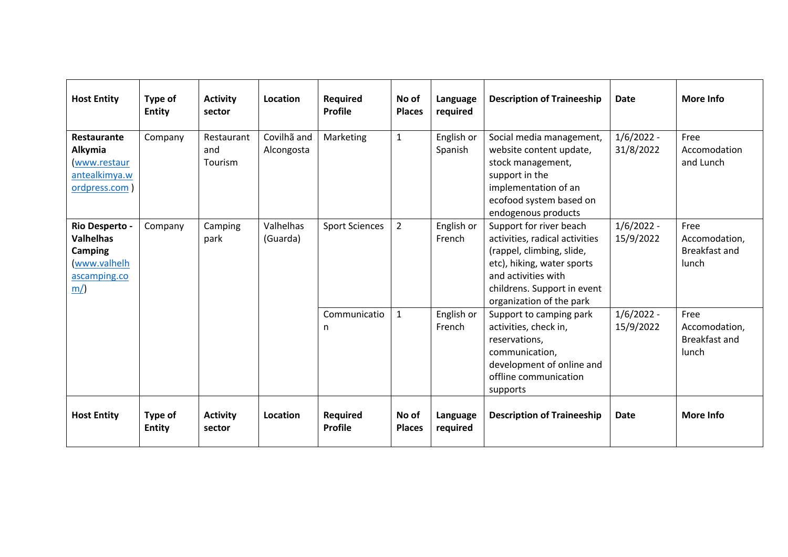| <b>Host Entity</b>                                                                        | Type of<br><b>Entity</b> | <b>Activity</b><br>sector    | <b>Location</b>           | <b>Required</b><br><b>Profile</b> | No of<br><b>Places</b> | Language<br>required  | <b>Description of Traineeship</b>                                                                                                                                                                      | <b>Date</b>               | More Info                                       |
|-------------------------------------------------------------------------------------------|--------------------------|------------------------------|---------------------------|-----------------------------------|------------------------|-----------------------|--------------------------------------------------------------------------------------------------------------------------------------------------------------------------------------------------------|---------------------------|-------------------------------------------------|
| Restaurante<br>Alkymia<br>www.restaur<br>antealkimya.w<br>ordpress.com                    | Company                  | Restaurant<br>and<br>Tourism | Covilhã and<br>Alcongosta | Marketing                         | $\mathbf{1}$           | English or<br>Spanish | Social media management,<br>website content update,<br>stock management,<br>support in the<br>implementation of an<br>ecofood system based on<br>endogenous products                                   | $1/6/2022 -$<br>31/8/2022 | Free<br>Accomodation<br>and Lunch               |
| Rio Desperto -<br><b>Valhelhas</b><br><b>Camping</b><br>www.valhelh<br>ascamping.co<br>m/ | Company                  | Camping<br>park              | Valhelhas<br>(Guarda)     | <b>Sport Sciences</b>             | $\overline{2}$         | English or<br>French  | Support for river beach<br>activities, radical activities<br>(rappel, climbing, slide,<br>etc), hiking, water sports<br>and activities with<br>childrens. Support in event<br>organization of the park | $1/6/2022 -$<br>15/9/2022 | Free<br>Accomodation,<br>Breakfast and<br>lunch |
|                                                                                           |                          |                              |                           | Communicatio<br>n                 | $\mathbf{1}$           | English or<br>French  | Support to camping park<br>activities, check in,<br>reservations,<br>communication,<br>development of online and<br>offline communication<br>supports                                                  | $1/6/2022 -$<br>15/9/2022 | Free<br>Accomodation,<br>Breakfast and<br>lunch |
| <b>Host Entity</b>                                                                        | Type of<br><b>Entity</b> | <b>Activity</b><br>sector    | Location                  | <b>Required</b><br><b>Profile</b> | No of<br><b>Places</b> | Language<br>required  | <b>Description of Traineeship</b>                                                                                                                                                                      | <b>Date</b>               | More Info                                       |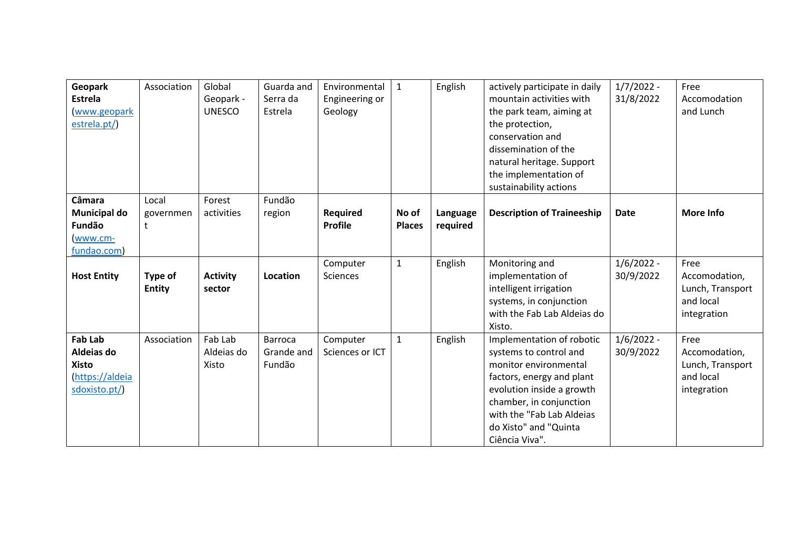| Geopark            | Association   | Global          | Guarda and     | Environmental   | $\mathbf{1}$  | English  | actively participate in daily     | $1/7/2022 -$ | Free             |
|--------------------|---------------|-----------------|----------------|-----------------|---------------|----------|-----------------------------------|--------------|------------------|
| <b>Estrela</b>     |               | Geopark -       | Serra da       | Engineering or  |               |          | mountain activities with          | 31/8/2022    | Accomodation     |
| www.geopark        |               | <b>UNESCO</b>   | Estrela        | Geology         |               |          | the park team, aiming at          |              | and Lunch        |
| estrela.pt/)       |               |                 |                |                 |               |          | the protection,                   |              |                  |
|                    |               |                 |                |                 |               |          | conservation and                  |              |                  |
|                    |               |                 |                |                 |               |          | dissemination of the              |              |                  |
|                    |               |                 |                |                 |               |          | natural heritage. Support         |              |                  |
|                    |               |                 |                |                 |               |          | the implementation of             |              |                  |
|                    |               |                 |                |                 |               |          | sustainability actions            |              |                  |
| Câmara             | Local         | Forest          | Fundão         |                 |               |          |                                   |              |                  |
| Municipal do       | governmen     | activities      | region         | Required        | No of         | Language | <b>Description of Traineeship</b> | <b>Date</b>  | More Info        |
| Fundão             | t             |                 |                | <b>Profile</b>  | <b>Places</b> | required |                                   |              |                  |
| www.cm-            |               |                 |                |                 |               |          |                                   |              |                  |
| fundao.com)        |               |                 |                |                 |               |          |                                   |              |                  |
|                    |               |                 |                | Computer        | $\mathbf{1}$  | English  | Monitoring and                    | $1/6/2022 -$ | Free             |
| <b>Host Entity</b> | Type of       | <b>Activity</b> | Location       | Sciences        |               |          | implementation of                 | 30/9/2022    | Accomodation,    |
|                    | <b>Entity</b> | sector          |                |                 |               |          | intelligent irrigation            |              | Lunch, Transport |
|                    |               |                 |                |                 |               |          | systems, in conjunction           |              | and local        |
|                    |               |                 |                |                 |               |          | with the Fab Lab Aldeias do       |              | integration      |
|                    |               |                 |                |                 |               |          | Xisto.                            |              |                  |
| <b>Fab Lab</b>     | Association   | Fab Lab         | <b>Barroca</b> | Computer        | $\mathbf{1}$  | English  | Implementation of robotic         | $1/6/2022 -$ | Free             |
| Aldeias do         |               | Aldeias do      | Grande and     | Sciences or ICT |               |          | systems to control and            | 30/9/2022    | Accomodation,    |
| <b>Xisto</b>       |               | Xisto           | Fundão         |                 |               |          | monitor environmental             |              | Lunch, Transport |
| (https://aldeia    |               |                 |                |                 |               |          | factors, energy and plant         |              | and local        |
| sdoxisto.pt/)      |               |                 |                |                 |               |          | evolution inside a growth         |              | integration      |
|                    |               |                 |                |                 |               |          | chamber, in conjunction           |              |                  |
|                    |               |                 |                |                 |               |          | with the "Fab Lab Aldeias         |              |                  |
|                    |               |                 |                |                 |               |          | do Xisto" and "Quinta             |              |                  |
|                    |               |                 |                |                 |               |          | Ciência Viva".                    |              |                  |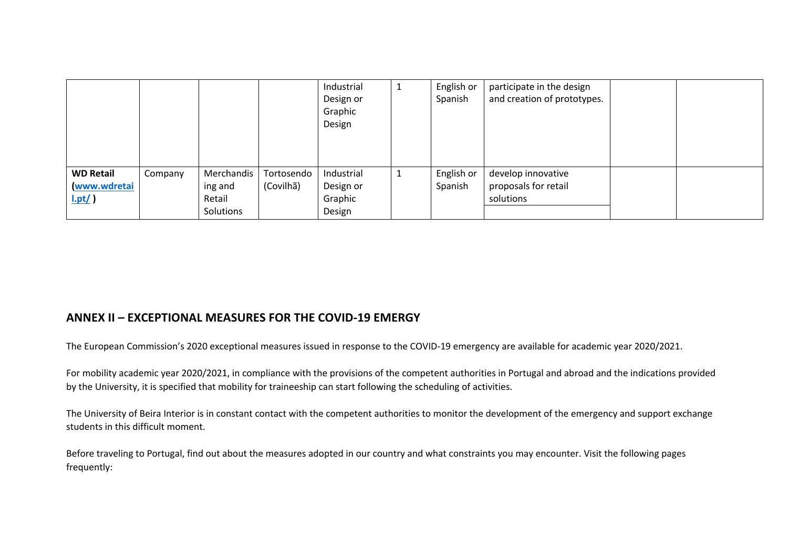|                  |         |            |            | Industrial | <b>L</b>                                                           | English or | participate in the design   |  |
|------------------|---------|------------|------------|------------|--------------------------------------------------------------------|------------|-----------------------------|--|
|                  |         |            |            | Design or  |                                                                    | Spanish    | and creation of prototypes. |  |
|                  |         |            |            | Graphic    |                                                                    |            |                             |  |
|                  |         |            |            | Design     |                                                                    |            |                             |  |
|                  |         |            |            |            |                                                                    |            |                             |  |
|                  |         |            |            |            |                                                                    |            |                             |  |
|                  |         |            |            |            |                                                                    |            |                             |  |
| <b>WD Retail</b> | Company | Merchandis | Tortosendo | Industrial | $\mathbf{\mathbf{\mathbf{\mathbf{\mathbf{\mathbf{\mathbf{I}}}}}}}$ | English or | develop innovative          |  |
| www.wdretai      |         | ing and    | (Covilhã)  | Design or  |                                                                    | Spanish    | proposals for retail        |  |
| $l.pt/$ )        |         | Retail     |            | Graphic    |                                                                    |            | solutions                   |  |
|                  |         | Solutions  |            | Design     |                                                                    |            |                             |  |

## **ANNEX II – EXCEPTIONAL MEASURES FOR THE COVID-19 EMERGY**

The European Commission's 2020 exceptional measures issued in response to the COVID-19 emergency are available for academic year 2020/2021.

For mobility academic year 2020/2021, in compliance with the provisions of the competent authorities in Portugal and abroad and the indications provided by the University, it is specified that mobility for traineeship can start following the scheduling of activities.

The University of Beira Interior is in constant contact with the competent authorities to monitor the development of the emergency and support exchange students in this difficult moment.

Before traveling to Portugal, find out about the measures adopted in our country and what constraints you may encounter. Visit the following pages frequently: